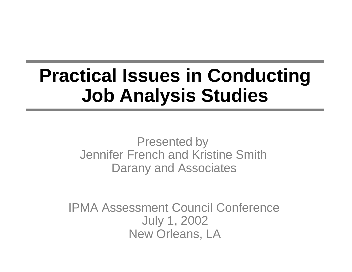# **Practical Issues in Conducting Job Analysis Studies**

Presented by Jennifer French and Kristine Smith Darany and Associates

IPMA Assessment Council Conference July 1, 2002 New Orleans, LA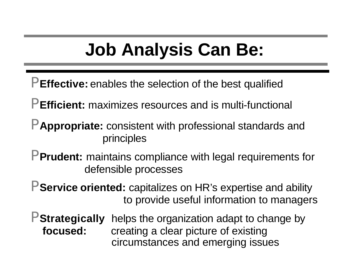# **Job Analysis Can Be:**

- P **Effective:** enables the selection of the best qualified
- P **Efficient:** maximizes resources and is multi-functional
- P **Appropriate:** consistent with professional standards and principles
- P **Prudent:** maintains compliance with legal requirements for defensible processes
- P **Service oriented:** capitalizes on HR's expertise and ability to provide useful information to managers
- P **Strategically** helps the organization adapt to change by **focused:** creating a clear picture of existing circumstances and emerging issues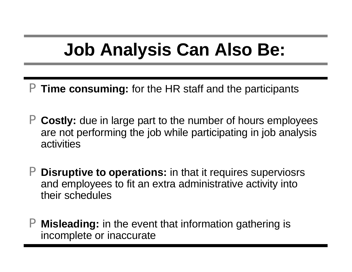# **Job Analysis Can Also Be:**

- P **Time consuming:** for the HR staff and the participants
- P **Costly:** due in large part to the number of hours employees are not performing the job while participating in job analysis activities
- P **Disruptive to operations:** in that it requires superviosrs and employees to fit an extra administrative activity into their schedules
- P **Misleading:** in the event that information gathering is incomplete or inaccurate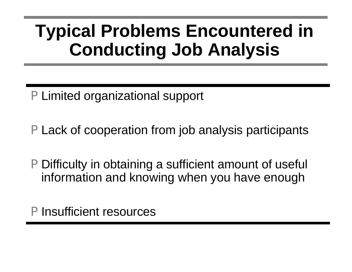## **Typical Problems Encountered in Conducting Job Analysis**

- P Limited organizational support
- P Lack of cooperation from job analysis participants
- P Difficulty in obtaining a sufficient amount of useful information and knowing when you have enough

P Insufficient resources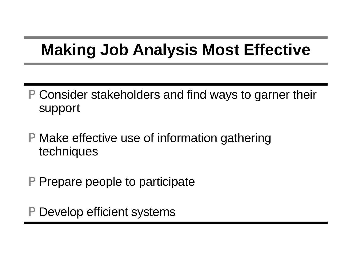### **Making Job Analysis Most Effective**

- P Consider stakeholders and find ways to garner their support
- P Make effective use of information gathering techniques
- P Prepare people to participate
- P Develop efficient systems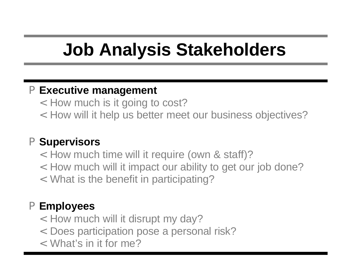# **Job Analysis Stakeholders**

#### P **Executive management**

- < How much is it going to cost?
- < How will it help us better meet our business objectives?

#### P **Supervisors**

- < How much time will it require (own & staff)?
- < How much will it impact our ability to get our job done?
- < What is the benefit in participating?

#### P **Employees**

- < How much will it disrupt my day?
- < Does participation pose a personal risk?
- < What's in it for me?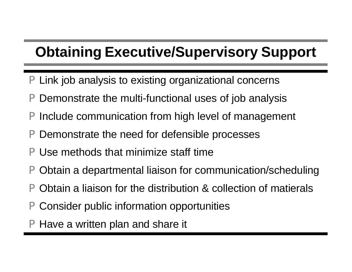### **Obtaining Executive/Supervisory Support**

- Link job analysis to existing organizational concerns
- P Demonstrate the multi-functional uses of job analysis
- P Include communication from high level of management
- P Demonstrate the need for defensible processes
- P Use methods that minimize staff time
- P Obtain a departmental liaison for communication/scheduling
- P Obtain a liaison for the distribution & collection of matierals
- P Consider public information opportunities
- P Have a written plan and share it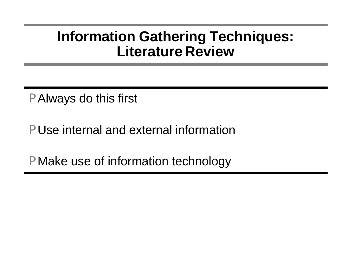### **Information Gathering Techniques: Literature Review**

P Always do this first

P Use internal and external information

P Make use of information technology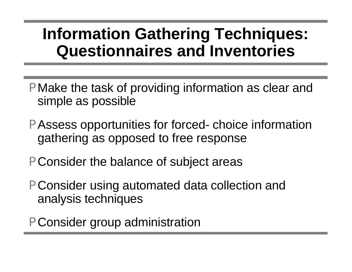### **Information Gathering Techniques: Questionnaires and Inventories**

- P Make the task of providing information as clear and simple as possible
- P Assess opportunities for forced- choice information gathering as opposed to free response
- P Consider the balance of subject areas
- P Consider using automated data collection and analysis techniques
- P Consider group administration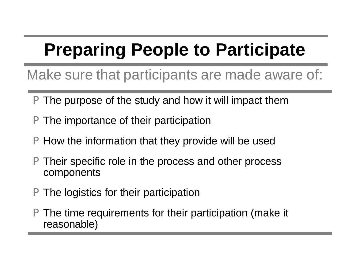# **Preparing People to Participate**

Make sure that participants are made aware of:

- The purpose of the study and how it will impact them
- P The importance of their participation
- P How the information that they provide will be used
- Their specific role in the process and other process components
- P The logistics for their participation
- The time requirements for their participation (make it reasonable)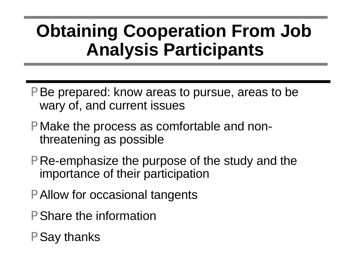## **Obtaining Cooperation From Job Analysis Participants**

- P Be prepared: know areas to pursue, areas to be wary of, and current issues
- P Make the process as comfortable and nonthreatening as possible
- P Re-emphasize the purpose of the study and the importance of their participation
- P Allow for occasional tangents
- P Share the information
- P Say thanks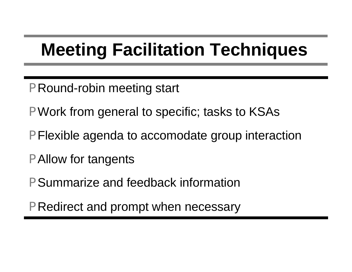# **Meeting Facilitation Techniques**

- P Round-robin meeting start
- P Work from general to specific; tasks to KSAs
- P Flexible agenda to accomodate group interaction
- P Allow for tangents
- P Summarize and feedback information
- P Redirect and prompt when necessary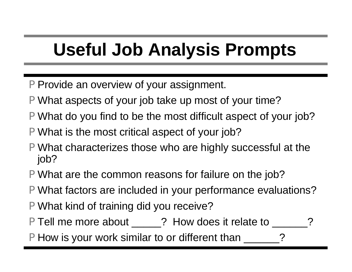# **Useful Job Analysis Prompts**

- P Provide an overview of your assignment.
- P What aspects of your job take up most of your time?
- P What do you find to be the most difficult aspect of your job?
- P What is the most critical aspect of your job?
- P What characterizes those who are highly successful at the job?
- P What are the common reasons for failure on the job?
- P What factors are included in your performance evaluations?
- P What kind of training did you receive?
- P Tell me more about \_\_\_\_\_? How does it relate to \_\_\_\_\_\_
- P How is your work similar to or different than \_\_\_\_\_\_?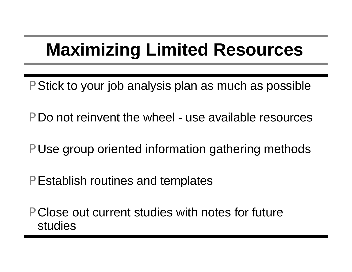# **Maximizing Limited Resources**

- P Stick to your job analysis plan as much as possible
- P Do not reinvent the wheel use available resources
- P Use group oriented information gathering methods
- P Establish routines and templates
- P Close out current studies with notes for future studies